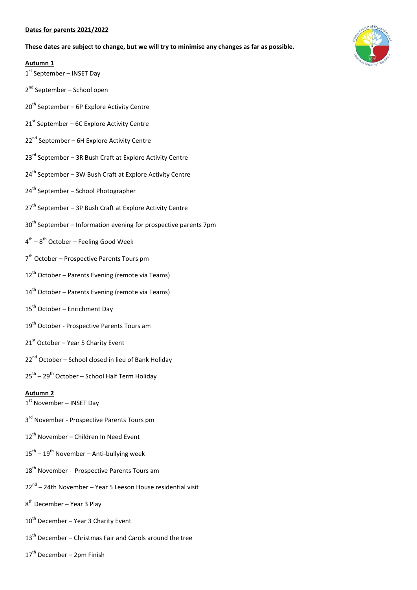#### **Dates for parents 2021/2022**

**These dates are subject to change, but we will try to minimise any changes as far as possible.**

#### **Autumn 1**

- 1st September INSET Day
- 2<sup>nd</sup> September School open
- $20<sup>th</sup>$  September 6P Explore Activity Centre
- $21<sup>st</sup>$  September 6C Explore Activity Centre
- 22<sup>nd</sup> September 6H Explore Activity Centre
- $23<sup>rd</sup>$  September 3R Bush Craft at Explore Activity Centre
- 24<sup>th</sup> September 3W Bush Craft at Explore Activity Centre
- 24<sup>th</sup> September School Photographer
- $27<sup>th</sup>$  September 3P Bush Craft at Explore Activity Centre
- $30<sup>th</sup>$  September Information evening for prospective parents 7pm
- 4<sup>th</sup> 8<sup>th</sup> October Feeling Good Week
- 7<sup>th</sup> October Prospective Parents Tours pm
- $12^{th}$  October Parents Evening (remote via Teams)
- $14<sup>th</sup>$  October Parents Evening (remote via Teams)
- 15<sup>th</sup> October Enrichment Day
- 19<sup>th</sup> October Prospective Parents Tours am
- $21<sup>st</sup>$  October Year 5 Charity Event
- 22<sup>nd</sup> October School closed in lieu of Bank Holiday
- 25<sup>th</sup> 29<sup>th</sup> October School Half Term Holiday

### **Autumn 2**

- 1st November INSET Day
- 3<sup>rd</sup> November Prospective Parents Tours pm
- 12<sup>th</sup> November Children In Need Event
- $15^{\text{th}} 19^{\text{th}}$  November Anti-bullying week
- 18<sup>th</sup> November Prospective Parents Tours am
- 22<sup>nd</sup> 24th November Year 5 Leeson House residential visit
- 8<sup>th</sup> December Year 3 Play
- 10<sup>th</sup> December Year 3 Charity Event
- $13<sup>th</sup>$  December Christmas Fair and Carols around the tree
- $17<sup>th</sup>$  December 2pm Finish